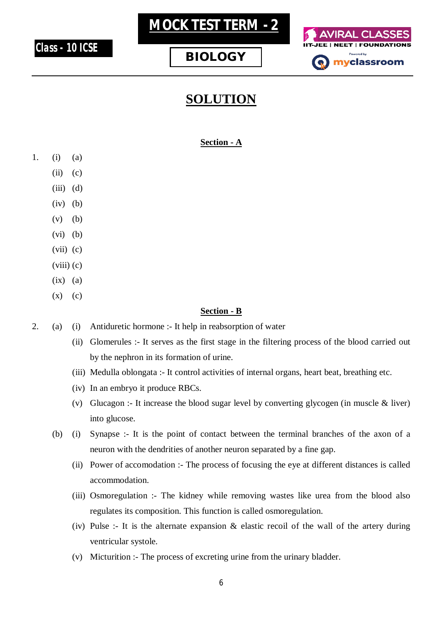

# **MOCK TEST TERM - 2**





## **SOLUTION**

#### **Section - A**

- 1. (i) (a)
	- $(ii)$   $(c)$
	- $(iii)$   $(d)$
	- $(iv)$   $(b)$
	- $(v)$   $(b)$
	- (vi) (b)
	- $(vii)$   $(c)$
	- $(viii)$   $(c)$
	- $(ix)$   $(a)$
	- $(x)$   $(c)$

#### **Section - B**

- 2. (a) (i) Antiduretic hormone :- It help in reabsorption of water
	- (ii) Glomerules :- It serves as the first stage in the filtering process of the blood carried out by the nephron in its formation of urine.
	- (iii) Medulla oblongata :- It control activities of internal organs, heart beat, breathing etc.
	- (iv) In an embryo it produce RBCs.
	- (v) Glucagon :- It increase the blood sugar level by converting glycogen (in muscle & liver) into glucose.
	- (b) (i) Synapse :- It is the point of contact between the terminal branches of the axon of a neuron with the dendrities of another neuron separated by a fine gap.
		- (ii) Power of accomodation :- The process of focusing the eye at different distances is called accommodation.
		- (iii) Osmoregulation :- The kidney while removing wastes like urea from the blood also regulates its composition. This function is called osmoregulation.
		- (iv) Pulse :- It is the alternate expansion & elastic recoil of the wall of the artery during ventricular systole.
		- (v) Micturition :- The process of excreting urine from the urinary bladder.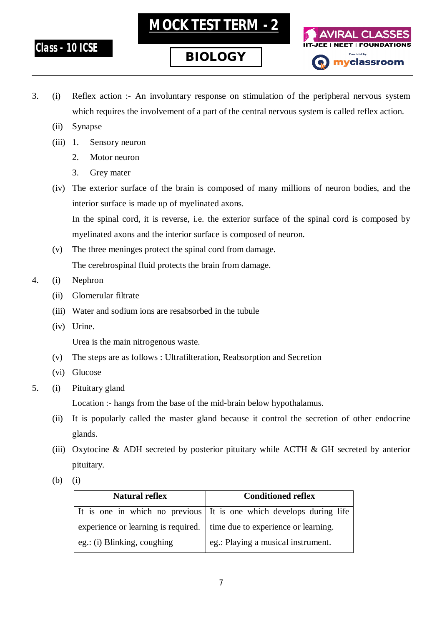**Class - 10 ICSE**



**MOCK TEST TERM - 2**



- 3. (i) Reflex action :- An involuntary response on stimulation of the peripheral nervous system which requires the involvement of a part of the central nervous system is called reflex action.
	- (ii) Synapse
	- (iii) 1. Sensory neuron
		- 2. Motor neuron
		- 3. Grey mater
	- (iv) The exterior surface of the brain is composed of many millions of neuron bodies, and the interior surface is made up of myelinated axons.

In the spinal cord, it is reverse, i.e. the exterior surface of the spinal cord is composed by myelinated axons and the interior surface is composed of neuron.

- (v) The three meninges protect the spinal cord from damage. The cerebrospinal fluid protects the brain from damage.
- 4. (i) Nephron
	- (ii) Glomerular filtrate
	- (iii) Water and sodium ions are resabsorbed in the tubule
	- (iv) Urine.

Urea is the main nitrogenous waste.

- (v) The steps are as follows : Ultrafilteration, Reabsorption and Secretion
- (vi) Glucose
- 5. (i) Pituitary gland

Location :- hangs from the base of the mid-brain below hypothalamus.

- (ii) It is popularly called the master gland because it control the secretion of other endocrine glands.
- (iii) Oxytocine & ADH secreted by posterior pituitary while ACTH & GH secreted by anterior pituitary.
- (b) (i)

| <b>Natural reflex</b>       | <b>Conditioned reflex</b>                                                 |
|-----------------------------|---------------------------------------------------------------------------|
|                             | It is one in which no previous It is one which develops during life       |
|                             | experience or learning is required.   time due to experience or learning. |
| eg.: (i) Blinking, coughing | eg.: Playing a musical instrument.                                        |